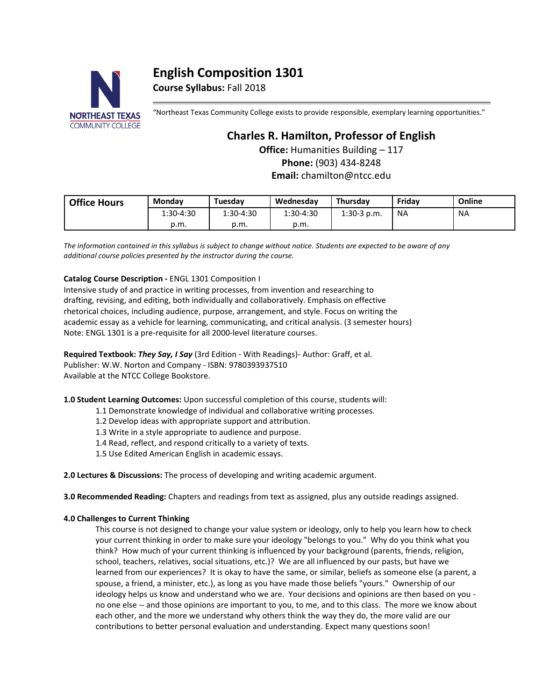# **English Composition 1301**

**Course Syllabus:** Fall 2018



"Northeast Texas Community College exists to provide responsible, exemplary learning opportunities."

# **Charles R. Hamilton, Professor of English**

**Office:** Humanities Building – 117

**Phone:** (903) 434-8248 **Email:** chamilton@ntcc.edu

| <b>Office Hours</b> | Monday    | Tuesdav   | Wednesday | Thursdav      | Fridav | Online |
|---------------------|-----------|-----------|-----------|---------------|--------|--------|
|                     | 1:30-4:30 | 1:30-4:30 | 1:30-4:30 | $1:30-3$ p.m. | ΝA     | NA     |
|                     | p.m.      | p.m.      | p.m.      |               |        |        |

*The information contained in this syllabus is subject to change without notice. Students are expected to be aware of any additional course policies presented by the instructor during the course.*

# **Catalog Course Description -** ENGL 1301 Composition I

Intensive study of and practice in writing processes, from invention and researching to drafting, revising, and editing, both individually and collaboratively. Emphasis on effective rhetorical choices, including audience, purpose, arrangement, and style. Focus on writing the academic essay as a vehicle for learning, communicating, and critical analysis. (3 semester hours) Note: ENGL 1301 is a pre-requisite for all 2000-level literature courses.

**Required Textbook:** *They Say, I Say* (3rd Edition - With Readings)- Author: Graff, et al. Publisher: W.W. Norton and Company - ISBN: 9780393937510 Available at the NTCC College Bookstore.

**1.0 Student Learning Outcomes:** Upon successful completion of this course, students will:

1.1 Demonstrate knowledge of individual and collaborative writing processes.

1.2 Develop ideas with appropriate support and attribution.

1.3 Write in a style appropriate to audience and purpose.

1.4 Read, reflect, and respond critically to a variety of texts.

1.5 Use Edited American English in academic essays.

**2.0 Lectures & Discussions:** The process of developing and writing academic argument.

**3.0 Recommended Reading:** Chapters and readings from text as assigned, plus any outside readings assigned.

# **4.0 Challenges to Current Thinking**

This course is not designed to change your value system or ideology, only to help you learn how to check your current thinking in order to make sure your ideology "belongs to you." Why do you think what you think? How much of your current thinking is influenced by your background (parents, friends, religion, school, teachers, relatives, social situations, etc.)? We are all influenced by our pasts, but have we learned from our experiences? It is okay to have the same, or similar, beliefs as someone else (a parent, a spouse, a friend, a minister, etc.), as long as you have made those beliefs "yours." Ownership of our ideology helps us know and understand who we are. Your decisions and opinions are then based on you no one else -- and those opinions are important to you, to me, and to this class. The more we know about each other, and the more we understand why others think the way they do, the more valid are our contributions to better personal evaluation and understanding. Expect many questions soon!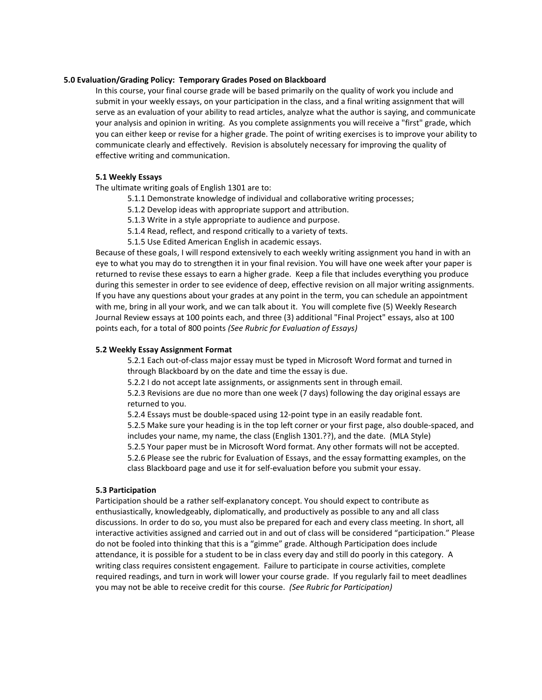# **5.0 Evaluation/Grading Policy: Temporary Grades Posed on Blackboard**

In this course, your final course grade will be based primarily on the quality of work you include and submit in your weekly essays, on your participation in the class, and a final writing assignment that will serve as an evaluation of your ability to read articles, analyze what the author is saying, and communicate your analysis and opinion in writing. As you complete assignments you will receive a "first" grade, which you can either keep or revise for a higher grade. The point of writing exercises is to improve your ability to communicate clearly and effectively. Revision is absolutely necessary for improving the quality of effective writing and communication.

# **5.1 Weekly Essays**

The ultimate writing goals of English 1301 are to:

- 5.1.1 Demonstrate knowledge of individual and collaborative writing processes;
- 5.1.2 Develop ideas with appropriate support and attribution.
- 5.1.3 Write in a style appropriate to audience and purpose.
- 5.1.4 Read, reflect, and respond critically to a variety of texts.
- 5.1.5 Use Edited American English in academic essays.

Because of these goals, I will respond extensively to each weekly writing assignment you hand in with an eye to what you may do to strengthen it in your final revision. You will have one week after your paper is returned to revise these essays to earn a higher grade. Keep a file that includes everything you produce during this semester in order to see evidence of deep, effective revision on all major writing assignments. If you have any questions about your grades at any point in the term, you can schedule an appointment with me, bring in all your work, and we can talk about it. You will complete five (5) Weekly Research Journal Review essays at 100 points each, and three (3) additional "Final Project" essays, also at 100 points each, for a total of 800 points *(See Rubric for Evaluation of Essays)*

# **5.2 Weekly Essay Assignment Format**

5.2.1 Each out-of-class major essay must be typed in Microsoft Word format and turned in through Blackboard by on the date and time the essay is due.

5.2.2 I do not accept late assignments, or assignments sent in through email.

5.2.3 Revisions are due no more than one week (7 days) following the day original essays are returned to you.

5.2.4 Essays must be double-spaced using 12-point type in an easily readable font. 5.2.5 Make sure your heading is in the top left corner or your first page, also double-spaced, and includes your name, my name, the class (English 1301.??), and the date. (MLA Style) 5.2.5 Your paper must be in Microsoft Word format. Any other formats will not be accepted. 5.2.6 Please see the rubric for Evaluation of Essays, and the essay formatting examples, on the

class Blackboard page and use it for self-evaluation before you submit your essay.

# **5.3 Participation**

Participation should be a rather self-explanatory concept. You should expect to contribute as enthusiastically, knowledgeably, diplomatically, and productively as possible to any and all class discussions. In order to do so, you must also be prepared for each and every class meeting. In short, all interactive activities assigned and carried out in and out of class will be considered "participation." Please do not be fooled into thinking that this is a "gimme" grade. Although Participation does include attendance, it is possible for a student to be in class every day and still do poorly in this category. A writing class requires consistent engagement. Failure to participate in course activities, complete required readings, and turn in work will lower your course grade. If you regularly fail to meet deadlines you may not be able to receive credit for this course. *(See Rubric for Participation)*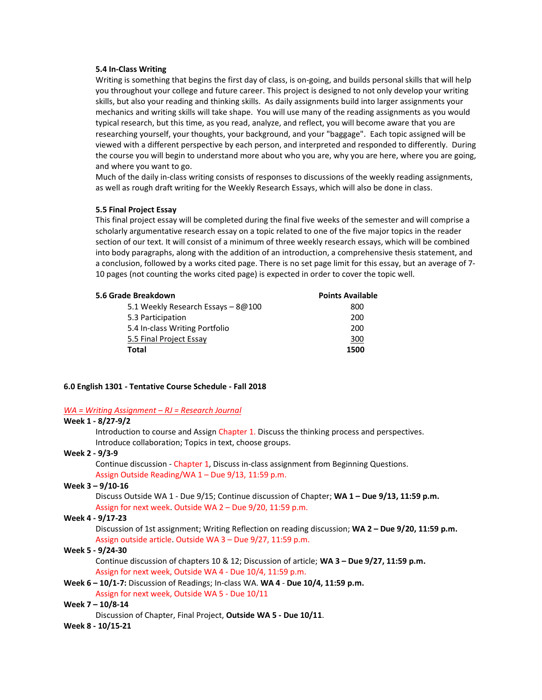# **5.4 In-Class Writing**

Writing is something that begins the first day of class, is on-going, and builds personal skills that will help you throughout your college and future career. This project is designed to not only develop your writing skills, but also your reading and thinking skills. As daily assignments build into larger assignments your mechanics and writing skills will take shape. You will use many of the reading assignments as you would typical research, but this time, as you read, analyze, and reflect, you will become aware that you are researching yourself, your thoughts, your background, and your "baggage". Each topic assigned will be viewed with a different perspective by each person, and interpreted and responded to differently. During the course you will begin to understand more about who you are, why you are here, where you are going, and where you want to go.

Much of the daily in-class writing consists of responses to discussions of the weekly reading assignments, as well as rough draft writing for the Weekly Research Essays, which will also be done in class.

## **5.5 Final Project Essay**

This final project essay will be completed during the final five weeks of the semester and will comprise a scholarly argumentative research essay on a topic related to one of the five major topics in the reader section of our text. It will consist of a minimum of three weekly research essays, which will be combined into body paragraphs, along with the addition of an introduction, a comprehensive thesis statement, and a conclusion, followed by a works cited page. There is no set page limit for this essay, but an average of 7- 10 pages (not counting the works cited page) is expected in order to cover the topic well.

| <b>Points Available</b> |  |
|-------------------------|--|
| 800                     |  |
| 200                     |  |
| 200                     |  |
| 300                     |  |
| 1500                    |  |
|                         |  |

### **6.0 English 1301 - Tentative Course Schedule - Fall 2018**

### *WA = Writing Assignment – RJ = Research Journal*

# **Week 1 - 8/27-9/2**

Introduction to course and Assign Chapter 1. Discuss the thinking process and perspectives. Introduce collaboration; Topics in text, choose groups.

# **Week 2 - 9/3-9**

Continue discussion - Chapter 1, Discuss in-class assignment from Beginning Questions. Assign Outside Reading/WA 1 – Due 9/13, 11:59 p.m.

# **Week 3 – 9/10-16**

Discuss Outside WA 1 - Due 9/15; Continue discussion of Chapter; **WA 1 – Due 9/13, 11:59 p.m.** Assign for next week. Outside WA 2 – Due 9/20, 11:59 p.m.

#### **Week 4 - 9/17-23**

Discussion of 1st assignment; Writing Reflection on reading discussion; **WA 2 – Due 9/20, 11:59 p.m.** Assign outside article. Outside WA 3 – Due 9/27, 11:59 p.m.

#### **Week 5 - 9/24-30**

Continue discussion of chapters 10 & 12; Discussion of article; **WA 3 – Due 9/27, 11:59 p.m.** Assign for next week, Outside WA 4 - Due 10/4, 11:59 p.m.

# **Week 6 – 10/1-7:** Discussion of Readings; In-class WA. **WA 4** - **Due 10/4, 11:59 p.m.**

# Assign for next week, Outside WA 5 - Due 10/11

# **Week 7 – 10/8-14**

Discussion of Chapter, Final Project, **Outside WA 5 - Due 10/11**.

# **Week 8 - 10/15-21**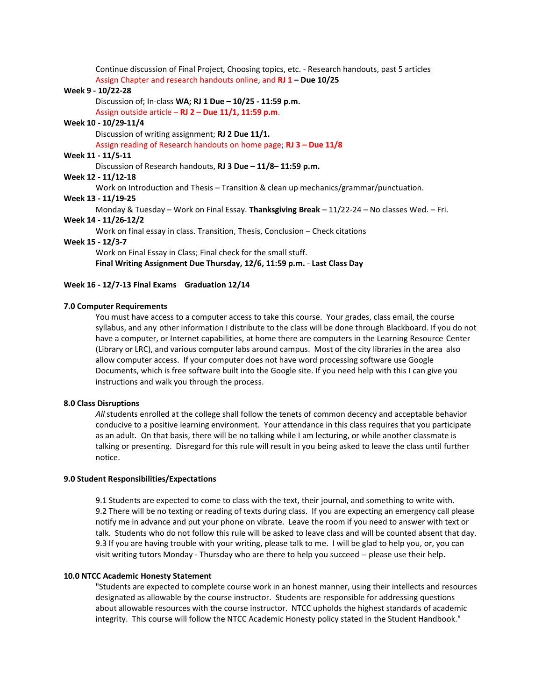Continue discussion of Final Project, Choosing topics, etc. - Research handouts, past 5 articles Assign Chapter and research handouts online, and **RJ 1 – Due 10/25**

# **Week 9 - 10/22-28**

Discussion of; In-class **WA; RJ 1 Due – 10/25 - 11:59 p.m.**

Assign outside article – **RJ 2 – Due 11/1, 11:59 p.m**.

# **Week 10 - 10/29-11/4**

Discussion of writing assignment; **RJ 2 Due 11/1.**

Assign reading of Research handouts on home page; **RJ 3 – Due 11/8**

# **Week 11 - 11/5-11**

Discussion of Research handouts, **RJ 3 Due – 11/8– 11:59 p.m.**

# **Week 12 - 11/12-18**

Work on Introduction and Thesis – Transition & clean up mechanics/grammar/punctuation.

# **Week 13 - 11/19-25**

Monday & Tuesday – Work on Final Essay. **Thanksgiving Break** – 11/22-24 – No classes Wed. – Fri. **Week 14 - 11/26-12/2**

Work on final essay in class. Transition, Thesis, Conclusion – Check citations

#### **Week 15 - 12/3-7**

Work on Final Essay in Class; Final check for the small stuff.

**Final Writing Assignment Due Thursday, 12/6, 11:59 p.m.** - **Last Class Day** 

### **Week 16 - 12/7-13 Final Exams Graduation 12/14**

# **7.0 Computer Requirements**

You must have access to a computer access to take this course. Your grades, class email, the course syllabus, and any other information I distribute to the class will be done through Blackboard. If you do not have a computer, or Internet capabilities, at home there are computers in the Learning Resource Center (Library or LRC), and various computer labs around campus. Most of the city libraries in the area also allow computer access. If your computer does not have word processing software use Google Documents, which is free software built into the Google site. If you need help with this I can give you instructions and walk you through the process.

# **8.0 Class Disruptions**

*All* students enrolled at the college shall follow the tenets of common decency and acceptable behavior conducive to a positive learning environment. Your attendance in this class requires that you participate as an adult. On that basis, there will be no talking while I am lecturing, or while another classmate is talking or presenting. Disregard for this rule will result in you being asked to leave the class until further notice.

### **9.0 Student Responsibilities/Expectations**

9.1 Students are expected to come to class with the text, their journal, and something to write with. 9.2 There will be no texting or reading of texts during class. If you are expecting an emergency call please notify me in advance and put your phone on vibrate. Leave the room if you need to answer with text or talk. Students who do not follow this rule will be asked to leave class and will be counted absent that day. 9.3 If you are having trouble with your writing, please talk to me. I will be glad to help you, or, you can visit writing tutors Monday - Thursday who are there to help you succeed -- please use their help.

### **10.0 NTCC Academic Honesty Statement**

"Students are expected to complete course work in an honest manner, using their intellects and resources designated as allowable by the course instructor. Students are responsible for addressing questions about allowable resources with the course instructor. NTCC upholds the highest standards of academic integrity. This course will follow the NTCC Academic Honesty policy stated in the Student Handbook."